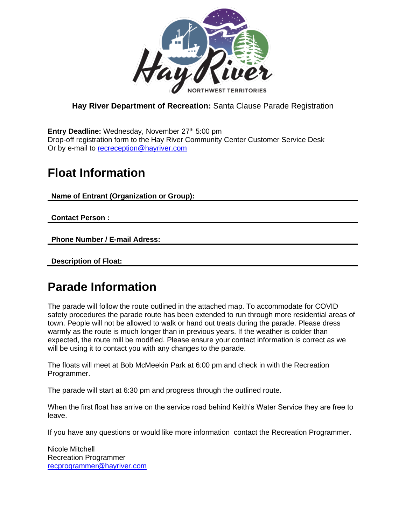

### **Hay River Department of Recreation:** Santa Clause Parade Registration

Entry Deadline: Wednesday, November 27<sup>th</sup> 5:00 pm Drop-off registration form to the Hay River Community Center Customer Service Desk Or by e-mail to [recreception@hayriver.com](mailto:recreception@hayriver.com)

### **Float Information**

**Name of Entrant (Organization or Group):** 

**Contact Person :**

**Phone Number / E-mail Adress:**

**Description of Float:**

## **Parade Information**

The parade will follow the route outlined in the attached map. To accommodate for COVID safety procedures the parade route has been extended to run through more residential areas of town. People will not be allowed to walk or hand out treats during the parade. Please dress warmly as the route is much longer than in previous years. If the weather is colder than expected, the route mill be modified. Please ensure your contact information is correct as we will be using it to contact you with any changes to the parade.

The floats will meet at Bob McMeekin Park at 6:00 pm and check in with the Recreation Programmer.

The parade will start at 6:30 pm and progress through the outlined route.

When the first float has arrive on the service road behind Keith's Water Service they are free to leave.

If you have any questions or would like more information contact the Recreation Programmer.

Nicole Mitchell Recreation Programmer [recprogrammer@hayriver.com](mailto:recprogrammer@hayriver.com)